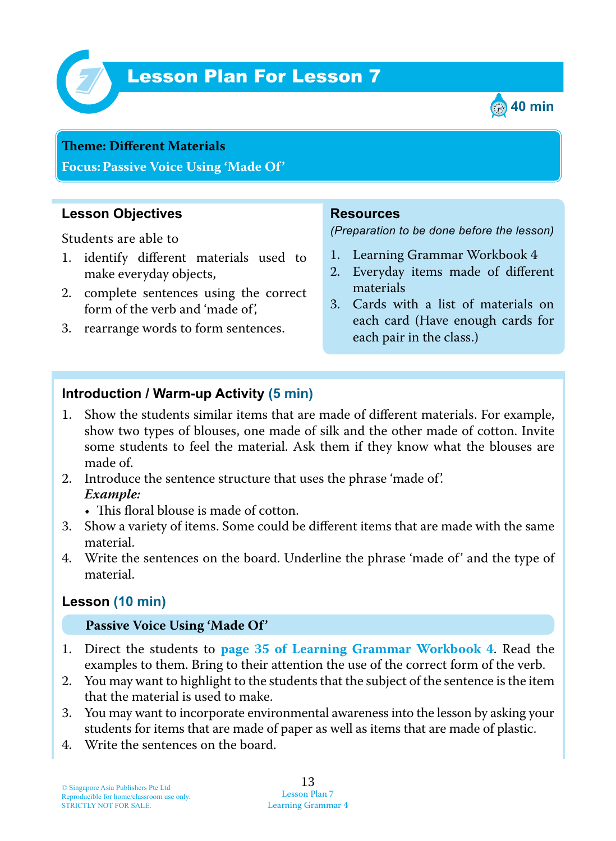

# Lesson Plan For Lesson 7 *7*



#### **Teme : Different Materials**

**Focus: Passive Voice Using 'Made Of'**

#### **Lesson Objectives**

Students are able to

- 1 . identify different materials used to make everyday objects,
- 2. complete sentences using the correct form of the verb and 'made of',
- 3. rearrange words to form sentences.

#### **Resources**

*(Preparation to be done before the lesson)*

- 1. Learning Grammar Workbook 4
- 2. Everyday items made of different materials
- 3. Cards with a list of materials on each card (Have enough cards for each pair in the class.)

### **Introduction / Warm-up Activity (5 min)**

- 1. Show the students similar items that are made of different materials. For example, show two types of blouses, one made of silk and the other made of cotton. Invite some students to feel the material. Ask them if they know what the blouses are made of.
- 2. Introduce the sentence structure that uses the phrase 'made of'.  *Example:*
	- $\bullet$  This floral blouse is made of cotton.
- 3. Show a variety of items. Some could be different items that are made with the same material.
- 4. Write the sentences on the board. Underline the phrase 'made of' and the type of material.

#### **Lesson (10 min)**

#### **Passive Voice Using 'Made Of'**

- 1 . Direct the students to **page 35 of Learning Grammar Workbook 4** . Read the examples to them. Bring to their attention the use of the correct form of the verb.
- 2. You may want to highlight to the students that the subject of the sentence is the item that the material is used to make.
- 3. You may want to incorporate environmental awareness into the lesson by asking your students for items that are made of paper as well as items that are made of plastic.
- 4. Write the sentences on the board.